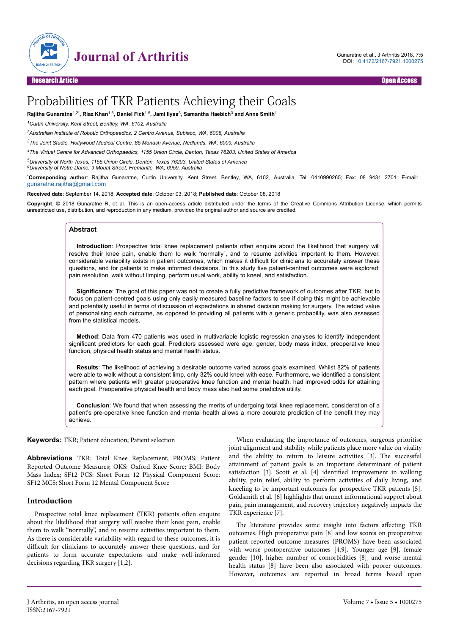

# Probabilities of TKR Patients Achieving their Goals

**Rajitha Gunaratne**1,2\***, Riaz Khan**1-6**, Daniel Fick**1-5**, Jami Ilyas**<sup>3</sup> **, Samantha Haebich**<sup>3</sup>  **and Anne Smith**<sup>1</sup>

*<sup>1</sup>Curtin University, Kent Street, Bentley, WA, 6102, Australia*

*<sup>2</sup>Australian Institute of Robotic Orthopaedics, 2 Centro Avenue, Subiaco, WA, 6008, Australia*

*<sup>3</sup>The Joint Studio, Hollywood Medical Centre, 85 Monash Avenue, Nedlands, WA, 6009, Australia*

*<sup>4</sup>The Virtual Centre for Advanced Orthopaedics, 1155 Union Circle, Denton, Texas 76203, United States of America*

*<sup>5</sup>University of North Texas, 1155 Union Circle, Denton, Texas 76203, United States of America*

*<sup>6</sup>University of Notre Dame, 9 Mouat Street, Fremantle, WA, 6959, Australia*

\***Corresponding author**: Rajitha Gunaratne, Curtin University, Kent Street, Bentley, WA, 6102, Australia, Tel: 0410990265; Fax: 08 9431 2701; E-mail: [gunaratne.rajitha@gmail.com](mailto:gunaratne.rajitha@gmail.com)

**Received date**: September 14, 2018; **Accepted date**: October 03, 2018; **Published date**: October 08, 2018

**Copyright**: © 2018 Gunaratne R, et al. This is an open-access article distributed under the terms of the Creative Commons Attribution License, which permits unrestricted use, distribution, and reproduction in any medium, provided the original author and source are credited.

#### **Abstract**

**Introduction**: Prospective total knee replacement patients often enquire about the likelihood that surgery will resolve their knee pain, enable them to walk "normally", and to resume activities important to them. However, considerable variability exists in patient outcomes, which makes it difficult for clinicians to accurately answer these questions, and for patients to make informed decisions. In this study five patient-centred outcomes were explored: pain resolution, walk without limping, perform usual work, ability to kneel, and satisfaction.

**Significance**: The goal of this paper was not to create a fully predictive framework of outcomes after TKR, but to focus on patient-centred goals using only easily measured baseline factors to see if doing this might be achievable and potentially useful in terms of discussion of expectations in shared decision making for surgery. The added value of personalising each outcome, as opposed to providing all patients with a generic probability, was also assessed from the statistical models.

**Method**: Data from 470 patients was used in multivariable logistic regression analyses to identify independent significant predictors for each goal. Predictors assessed were age, gender, body mass index, preoperative knee function, physical health status and mental health status.

**Results**: The likelihood of achieving a desirable outcome varied across goals examined. Whilst 82% of patients were able to walk without a consistent limp, only 32% could kneel with ease. Furthermore, we identified a consistent pattern where patients with greater preoperative knee function and mental health, had improved odds for attaining each goal. Preoperative physical health and body mass also had some predictive utility.

**Conclusion**: We found that when assessing the merits of undergoing total knee replacement, consideration of a patient's pre-operative knee function and mental health allows a more accurate prediction of the benefit they may achieve.

**Keywords:** TKR; Patient education; Patient selection

**Abbreviations** TKR: Total Knee Replacement; PROMS: Patient Reported Outcome Measures; OKS: Oxford Knee Score; BMI: Body Mass Index; SF12 PCS: Short Form 12 Physical Component Score; SF12 MCS: Short Form 12 Mental Component Score

#### **Introduction**

Prospective total knee replacement (TKR) patients often enquire about the likelihood that surgery will resolve their knee pain, enable them to walk "normally", and to resume activities important to them. As there is considerable variability with regard to these outcomes, it is difficult for clinicians to accurately answer these questions, and for patients to form accurate expectations and make well-informed decisions regarding TKR surgery [1,2].

When evaluating the importance of outcomes, surgeons prioritise joint alignment and stability while patients place more value on vitality and the ability to return to leisure activities [3]. Нe successful attainment of patient goals is an important determinant of patient satisfaction [3]. Scott et al. [4] identified improvement in walking ability, pain relief, ability to perform activities of daily living, and kneeling to be important outcomes for prospective TKR patients [5]. Goldsmith et al. [6] highlights that unmet informational support about pain, pain management, and recovery trajectory negatively impacts the TKR experience [7].

The literature provides some insight into factors affecting TKR outcomes. High preoperative pain [8] and low scores on preoperative patient reported outcome measures (PROMS) have been associated with worse postoperative outcomes [4,9]. Younger age [9], female gender [10], higher number of comorbidities [8], and worse mental health status [8] have been also associated with poorer outcomes. However, outcomes are reported in broad terms based upon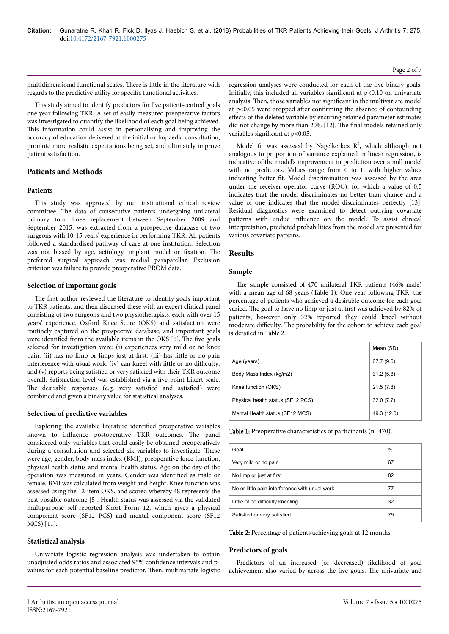multidimensional functional scales. Нere is little in the literature with regards to the predictive utility for specific functional activities.

This study aimed to identify predictors for five patient-centred goals one year following TKR. A set of easily measured preoperative factors was investigated to quantify the likelihood of each goal being achieved. This information could assist in personalising and improving the accuracy of education delivered at the initial orthopaedic consultation, promote more realistic expectations being set, and ultimately improve patient satisfaction.

# **Patients and Methods**

## **Patients**

This study was approved by our institutional ethical review committee. Нe data of consecutive patients undergoing unilateral primary total knee replacement between September 2009 and September 2015, was extracted from a prospective database of two surgeons with 10-15 years' experience in performing TKR. All patients followed a standardised pathway of care at one institution. Selection was not biased by age, aetiology, implant model or fixation. The preferred surgical approach was medial parapatellar. Exclusion criterion was failure to provide preoperative PROM data.

#### **Selection of important goals**

The first author reviewed the literature to identify goals important to TKR patients, and then discussed these with an expert clinical panel consisting of two surgeons and two physiotherapists, each with over 15 years' experience. Oxford Knee Score (OKS) and satisfaction were routinely captured on the prospective database, and important goals were identified from the available items in the OKS [5]. The five goals selected for investigation were: (i) experiences very mild or no knee pain, (ii) has no limp or limps just at first, (iii) has little or no pain interference with usual work, (iv) can kneel with little or no difficulty, and (v) reports being satisfied or very satisfied with their TKR outcome overall. Satisfaction level was established via a five point Likert scale. The desirable responses (e.g. very satisfied and satisfied) were combined and given a binary value for statistical analyses.

#### **Selection of predictive variables**

Exploring the available literature identified preoperative variables known to influence postoperative TKR outcomes. The panel considered only variables that could easily be obtained preoperatively during a consultation and selected six variables to investigate. Нese were age, gender, body mass index (BMI), preoperative knee function, physical health status and mental health status. Age on the day of the operation was measured in years. Gender was identified as male or female. BMI was calculated from weight and height. Knee function was assessed using the 12-item OKS, and scored whereby 48 represents the best possible outcome [5]. Health status was assessed via the validated multipurpose self-reported Short Form 12, which gives a physical component score (SF12 PCS) and mental component score (SF12 MCS) [11].

#### **Statistical analysis**

Univariate logistic regression analysis was undertaken to obtain unadjusted odds ratios and associated 95% confidence intervals and pvalues for each potential baseline predictor. Нen, multivariate logistic regression analyses were conducted for each of the five binary goals. Initially, this included all variables significant at  $p<0.10$  on univariate analysis. Then, those variables not significant in the multivariate model at  $p<0.05$  were dropped after confirming the absence of confounding effects of the deleted variable by ensuring retained parameter estimates did not change by more than 20% [12]. Нe final models retained only variables significant at  $p<0.05$ .

Model fit was assessed by Nagelkerke's  $R^2$ , which although not analogous to proportion of variance explained in linear regression, is indicative of the model's improvement in prediction over a null model with no predictors. Values range from 0 to 1, with higher values indicating better fit. Model discrimination was assessed by the area under the receiver operator curve (ROC), for which a value of 0.5 indicates that the model discriminates no better than chance and a value of one indicates that the model discriminates perfectly [13]. Residual diagnostics were examined to detect outlying covariate patterns with undue influence on the model. To assist clinical interpretation, predicted probabilities from the model are presented for various covariate patterns.

# **Results**

## **Sample**

The sample consisted of 470 unilateral TKR patients (46% male) with a mean age of 68 years (Table 1). One year following TKR, the percentage of patients who achieved a desirable outcome for each goal varied. The goal to have no limp or just at first was achieved by 82% of patients; however only 32% reported they could kneel without moderate difficulty. The probability for the cohort to achieve each goal is detailed in Table 2.

|                                   | Mean (SD)   |
|-----------------------------------|-------------|
| Age (years)                       | 67.7 (9.6)  |
| Body Mass Index (kg/m2)           | 31.2(5.8)   |
| Knee function (OKS)               | 21.5(7.8)   |
| Physical health status (SF12 PCS) | 32.0(7.7)   |
| Mental Health status (SF12 MCS)   | 49.3 (12.0) |

Table 1: Preoperative characteristics of participants (n=470).

| Goal                                           | %  |
|------------------------------------------------|----|
| Very mild or no pain                           | 67 |
| No limp or just at first                       | 82 |
| No or little pain interference with usual work | 77 |
| Little of no difficulty kneeling               | 32 |
| Satisfied or very satisfied                    | 79 |

Table 2: Percentage of patients achieving goals at 12 months.

#### **Predictors of goals**

Predictors of an increased (or decreased) likelihood of goal achievement also varied by across the five goals. Нe univariate and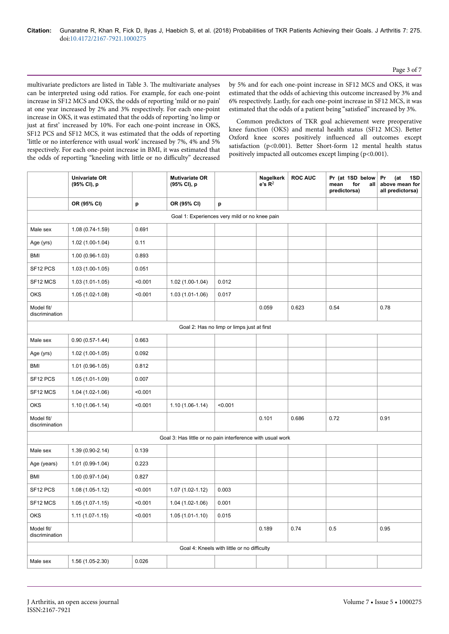# Page 3 of 7

multivariate predictors are listed in Table 3. Нe multivariate analyses can be interpreted using odd ratios. For example, for each one-point increase in SF12 MCS and OKS, the odds of reporting 'mild or no pain' at one year increased by 2% and 3% respectively. For each one-point increase in OKS, it was estimated that the odds of reporting 'no limp or just at first' increased by 10%. For each one-point increase in OKS, SF12 PCS and SF12 MCS, it was estimated that the odds of reporting 'little or no interference with usual work' increased by 7%, 4% and 5% respectively. For each one-point increase in BMI, it was estimated that the odds of reporting "kneeling with little or no difficulty" decreased

by 5% and for each one-point increase in SF12 MCS and OKS, it was estimated that the odds of achieving this outcome increased by 3% and 6% respectively. Lastly, for each one-point increase in SF12 MCS, it was estimated that the odds of a patient being "satisfied" increased by 3%.

Common predictors of TKR goal achievement were preoperative knee function (OKS) and mental health status (SF12 MCS). Better Oxford knee scores positively influenced all outcomes except satisfaction (p<0.001). Better Short-form 12 mental health status positively impacted all outcomes except limping (p<0.001).

|                              | <b>Univariate OR</b><br>(95% CI), p |         | <b>Mutivariate OR</b><br>(95% CI), p                       |                                             | Nagelkerk<br>e's R <sup>2</sup> | <b>ROC AUC</b> | Pr (at 1SD below<br>mean<br>for<br>all<br>predictorsa) | 1SD<br>Pr<br>(at<br>above mean for<br>all predictorsa) |
|------------------------------|-------------------------------------|---------|------------------------------------------------------------|---------------------------------------------|---------------------------------|----------------|--------------------------------------------------------|--------------------------------------------------------|
|                              | OR (95% CI)                         | p       | OR (95% CI)                                                | p                                           |                                 |                |                                                        |                                                        |
|                              |                                     |         | Goal 1: Experiences very mild or no knee pain              |                                             |                                 |                |                                                        |                                                        |
| Male sex                     | 1.08 (0.74-1.59)                    | 0.691   |                                                            |                                             |                                 |                |                                                        |                                                        |
| Age (yrs)                    | $1.02(1.00-1.04)$                   | 0.11    |                                                            |                                             |                                 |                |                                                        |                                                        |
| BMI                          | $1.00(0.96-1.03)$                   | 0.893   |                                                            |                                             |                                 |                |                                                        |                                                        |
| SF12 PCS                     | $1.03(1.00-1.05)$                   | 0.051   |                                                            |                                             |                                 |                |                                                        |                                                        |
| SF12 MCS                     | $1.03(1.01-1.05)$                   | < 0.001 | $1.02(1.00-1.04)$                                          | 0.012                                       |                                 |                |                                                        |                                                        |
| <b>OKS</b>                   | 1.05 (1.02-1.08)                    | < 0.001 | 1.03 (1.01-1.06)                                           | 0.017                                       |                                 |                |                                                        |                                                        |
| Model fit/<br>discrimination |                                     |         |                                                            |                                             | 0.059                           | 0.623          | 0.54                                                   | 0.78                                                   |
|                              |                                     |         |                                                            | Goal 2: Has no limp or limps just at first  |                                 |                |                                                        |                                                        |
| Male sex                     | $0.90(0.57 - 1.44)$                 | 0.663   |                                                            |                                             |                                 |                |                                                        |                                                        |
| Age (yrs)                    | $1.02(1.00-1.05)$                   | 0.092   |                                                            |                                             |                                 |                |                                                        |                                                        |
| <b>BMI</b>                   | 1.01 (0.96-1.05)                    | 0.812   |                                                            |                                             |                                 |                |                                                        |                                                        |
| SF12 PCS                     | $1.05(1.01-1.09)$                   | 0.007   |                                                            |                                             |                                 |                |                                                        |                                                        |
| SF12 MCS                     | 1.04 (1.02-1.06)                    | < 0.001 |                                                            |                                             |                                 |                |                                                        |                                                        |
| OKS                          | $1.10(1.06-1.14)$                   | < 0.001 | $1.10(1.06-1.14)$                                          | < 0.001                                     |                                 |                |                                                        |                                                        |
| Model fit/<br>discrimination |                                     |         |                                                            |                                             | 0.101                           | 0.686          | 0.72                                                   | 0.91                                                   |
|                              |                                     |         | Goal 3: Has little or no pain interference with usual work |                                             |                                 |                |                                                        |                                                        |
| Male sex                     | $1.39(0.90-2.14)$                   | 0.139   |                                                            |                                             |                                 |                |                                                        |                                                        |
| Age (years)                  | 1.01 (0.99-1.04)                    | 0.223   |                                                            |                                             |                                 |                |                                                        |                                                        |
| <b>BMI</b>                   | $1.00(0.97-1.04)$                   | 0.827   |                                                            |                                             |                                 |                |                                                        |                                                        |
| SF12 PCS                     | $1.08(1.05-1.12)$                   | < 0.001 | $1.07(1.02 - 1.12)$                                        | 0.003                                       |                                 |                |                                                        |                                                        |
| SF12 MCS                     | $1.05(1.07-1.15)$                   | < 0.001 | 1.04 (1.02-1.06)                                           | 0.001                                       |                                 |                |                                                        |                                                        |
| OKS                          | $1.11(1.07-1.15)$                   | < 0.001 | $1.05(1.01-1.10)$                                          | 0.015                                       |                                 |                |                                                        |                                                        |
| Model fit/<br>discrimination |                                     |         |                                                            |                                             | 0.189                           | 0.74           | 0.5                                                    | 0.95                                                   |
|                              |                                     |         |                                                            | Goal 4: Kneels with little or no difficulty |                                 |                |                                                        |                                                        |
| Male sex                     | 1.56 (1.05-2.30)                    | 0.026   |                                                            |                                             |                                 |                |                                                        |                                                        |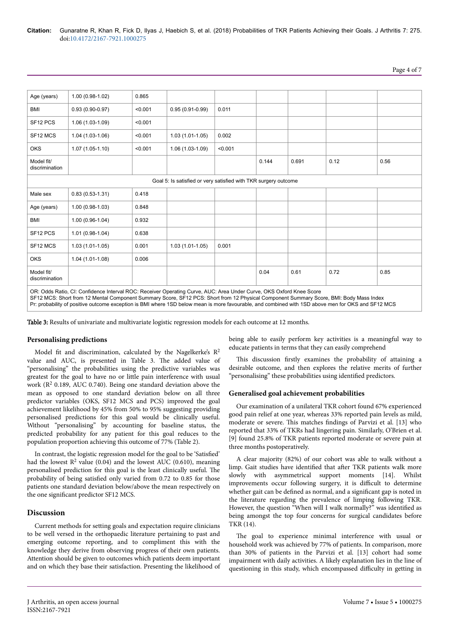Page 4 of 7

| Age (years)                  | $1.00(0.98-1.02)$ | 0.865   |                                                                 |         |       |       |      |      |
|------------------------------|-------------------|---------|-----------------------------------------------------------------|---------|-------|-------|------|------|
| <b>BMI</b>                   | $0.93(0.90-0.97)$ | < 0.001 | $0.95(0.91-0.99)$                                               | 0.011   |       |       |      |      |
| SF <sub>12</sub> PCS         | $1.06(1.03-1.09)$ | < 0.001 |                                                                 |         |       |       |      |      |
| SF <sub>12</sub> MCS         | $1.04(1.03-1.06)$ | < 0.001 | $1.03(1.01-1.05)$                                               | 0.002   |       |       |      |      |
| <b>OKS</b>                   | $1.07(1.05-1.10)$ | < 0.001 | $1.06(1.03-1.09)$                                               | < 0.001 |       |       |      |      |
| Model fit/<br>discrimination |                   |         |                                                                 |         | 0.144 | 0.691 | 0.12 | 0.56 |
|                              |                   |         | Goal 5: Is satisfied or very satisfied with TKR surgery outcome |         |       |       |      |      |
| Male sex                     | $0.83(0.53-1.31)$ | 0.418   |                                                                 |         |       |       |      |      |
| Age (years)                  | $1.00(0.98-1.03)$ | 0.848   |                                                                 |         |       |       |      |      |
| <b>BMI</b>                   | $1.00(0.96-1.04)$ | 0.932   |                                                                 |         |       |       |      |      |
| SF <sub>12</sub> PCS         | $1.01(0.98-1.04)$ | 0.638   |                                                                 |         |       |       |      |      |
| SF12 MCS                     | $1.03(1.01-1.05)$ | 0.001   | $1.03(1.01-1.05)$                                               | 0.001   |       |       |      |      |
| OKS                          | $1.04(1.01-1.08)$ | 0.006   |                                                                 |         |       |       |      |      |
| Model fit/<br>discrimination |                   |         |                                                                 |         | 0.04  | 0.61  | 0.72 | 0.85 |

SF12 MCS: Short from 12 Mental Component Summary Score, SF12 PCS: Short from 12 Physical Component Summary Score, BMI: Body Mass Index Pr: probability of positive outcome exception is BMI where 1SD below mean is more favourable, and combined with 1SD above men for OKS and SF12 MCS

Table 3: Results of univariate and multivariate logistic regression models for each outcome at 12 months.

#### **Personalising predictions**

Model fit and discrimination, calculated by the Nagelkerke's  $R^2$ value and AUC, is presented in Table 3. Нe added value of "personalising" the probabilities using the predictive variables was greatest for the goal to have no or little pain interference with usual work ( $\mathbb{R}^2$  0.189, AUC 0.740). Being one standard deviation above the mean as opposed to one standard deviation below on all three predictor variables (OKS, SF12 MCS and PCS) improved the goal achievement likelihood by 45% from 50% to 95% suggesting providing personalised predictions for this goal would be clinically useful. Without "personalising" by accounting for baseline status, the predicted probability for any patient for this goal reduces to the population proportion achieving this outcome of 77% (Table 2).

In contrast, the logistic regression model for the goal to be 'Satisfied' had the lowest  $R^2$  value (0.04) and the lowest AUC (0.610), meaning personalised prediction for this goal is the least clinically useful. Нe probability of being satisfied only varied from 0.72 to 0.85 for those patients one standard deviation below/above the mean respectively on the one significant predictor SF12 MCS.

#### **Discussion**

Current methods for setting goals and expectation require clinicians to be well versed in the orthopaedic literature pertaining to past and emerging outcome reporting, and to compliment this with the knowledge they derive from observing progress of their own patients. Attention should be given to outcomes which patients deem important and on which they base their satisfaction. Presenting the likelihood of being able to easily perform key activities is a meaningful way to educate patients in terms that they can easily comprehend

This discussion firstly examines the probability of attaining a desirable outcome, and then explores the relative merits of further "personalising" these probabilities using identified predictors.

#### **Generalised goal achievement probabilities**

Our examination of a unilateral TKR cohort found 67% experienced good pain relief at one year, whereas 33% reported pain levels as mild, moderate or severe. This matches findings of Parvizi et al. [13] who reported that 33% of TKRs had lingering pain. Similarly, O'Brien et al. [9] found 25.8% of TKR patients reported moderate or severe pain at three months postoperatively.

A clear majority (82%) of our cohort was able to walk without a limp. Gait studies have identified that after TKR patients walk more slowly with asymmetrical support moments [14]. Whilst improvements occur following surgery, it is difficult to determine whether gait can be defined as normal, and a significant gap is noted in the literature regarding the prevalence of limping following TKR. However, the question "When will I walk normally?" was identified as being amongst the top four concerns for surgical candidates before TKR (14).

The goal to experience minimal interference with usual or household work was achieved by 77% of patients. In comparison, more than 30% of patients in the Parvizi et al. [13] cohort had some impairment with daily activities. A likely explanation lies in the line of questioning in this study, which encompassed difficulty in getting in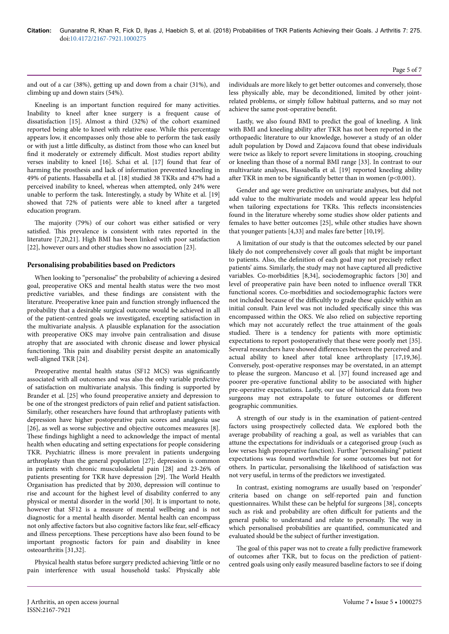and out of a car (38%), getting up and down from a chair (31%), and climbing up and down stairs (54%).

Kneeling is an important function required for many activities. Inability to kneel after knee surgery is a frequent cause of dissatisfaction [15]. Almost a third (32%) of the cohort examined reported being able to kneel with relative ease. While this percentage appears low, it encompasses only those able to perform the task easily or with just a little difficulty, as distinct from those who can kneel but find it moderately or extremely difficult. Most studies report ability verses inability to kneel [16]. Schai et al. [17] found that fear of harming the prosthesis and lack of information prevented kneeling in 49% of patients. Hassabella et al. [18] studied 38 TKRs and 47% had a perceived inability to kneel, whereas when attempted, only 24% were unable to perform the task. Interestingly, a study by White et al. [19] showed that 72% of patients were able to kneel after a targeted education program.

The majority (79%) of our cohort was either satisfied or very satisfied. This prevalence is consistent with rates reported in the literature [7,20,21]. High BMI has been linked with poor satisfaction [22], however ours and other studies show no association [23].

#### **Personalising probabilities based on Predictors**

When looking to "personalise'' the probability of achieving a desired goal, preoperative OKS and mental health status were the two most predictive variables, and these findings are consistent with the literature. Preoperative knee pain and function strongly influenced the probability that a desirable surgical outcome would be achieved in all of the patient-centred goals we investigated, excepting satisfaction in the multivariate analysis. A plausible explanation for the association with preoperative OKS may involve pain centralisation and disuse atrophy that are associated with chronic disease and lower physical functioning. This pain and disability persist despite an anatomically well-aligned TKR [24].

Preoperative mental health status (SF12 MCS) was significantly associated with all outcomes and was also the only variable predictive of satisfaction on multivariate analysis. This finding is supported by Brander et al. [25] who found preoperative anxiety and depression to be one of the strongest predictors of pain relief and patient satisfaction. Similarly, other researchers have found that arthroplasty patients with depression have higher postoperative pain scores and analgesia use [26], as well as worse subjective and objective outcomes measures [8]. These findings highlight a need to acknowledge the impact of mental health when educating and setting expectations for people considering TKR. Psychiatric illness is more prevalent in patients undergoing arthroplasty than the general population [27]; depression is common in patients with chronic musculoskeletal pain [28] and 23-26% of patients presenting for TKR have depression [29]. Нe World Health Organisation has predicted that by 2030, depression will continue to rise and account for the highest level of disability conferred to any physical or mental disorder in the world [30]. It is important to note, however that SF12 is a measure of mental wellbeing and is not diagnostic for a mental health disorder. Mental health can encompass not only affective factors but also cognitive factors like fear, self-efficacy and illness perceptions. Нese perceptions have also been found to be important prognostic factors for pain and disability in knee osteoarthritis [31,32].

Physical health status before surgery predicted achieving 'little or no pain interference with usual household tasks'. Physically able

individuals are more likely to get better outcomes and conversely, those less physically able, may be deconditioned, limited by other jointrelated problems, or simply follow habitual patterns, and so may not achieve the same post-operative benefit.

Lastly, we also found BMI to predict the goal of kneeling. A link with BMI and kneeling ability after TKR has not been reported in the orthopaedic literature to our knowledge, however a study of an older adult population by Dowd and Zajacova found that obese individuals were twice as likely to report severe limitations in stooping, crouching or kneeling than those of a normal BMI range [33]. In contrast to our multivariate analyses, Hassabella et al. [19] reported kneeling ability after TKR in men to be significantly better than in women ( $p$ <0.001).

Gender and age were predictive on univariate analyses, but did not add value to the multivariate models and would appear less helpful when tailoring expectations for TKRs. This reflects inconsistencies found in the literature whereby some studies show older patients and females to have better outcomes [25], while other studies have shown that younger patients [4,33] and males fare better [10,19].

A limitation of our study is that the outcomes selected by our panel likely do not comprehensively cover all goals that might be important to patients. Also, the definition of each goal may not precisely reflect patients' aims. Similarly, the study may not have captured all predictive variables. Co-morbidities [8,34], sociodemographic factors [30] and level of preoperative pain have been noted to influence overall TKR functional scores. Co-morbidities and sociodemographic factors were not included because of the difficultly to grade these quickly within an initial consult. Pain level was not included specifically since this was encompassed within the OKS. We also relied on subjective reporting which may not accurately reflect the true attainment of the goals studied. Нere is a tendency for patients with more optimistic expectations to report postoperatively that these were poorly met [35]. Several researchers have showed differences between the perceived and actual ability to kneel after total knee arthroplasty [17,19,36]. Conversely, post-operative responses may be overstated, in an attempt to please the surgeon. Mancuso et al. [37] found increased age and poorer pre-operative functional ability to be associated with higher pre-operative expectations. Lastly, our use of historical data from two surgeons may not extrapolate to future outcomes or different geographic communities.

A strength of our study is in the examination of patient-centred factors using prospectively collected data. We explored both the average probability of reaching a goal, as well as variables that can attune the expectations for individuals or a categorised group (such as low verses high preoperative function). Further "personalising" patient expectations was found worthwhile for some outcomes but not for others. In particular, personalising the likelihood of satisfaction was not very useful, in terms of the predictors we investigated.

In contrast, existing nomograms are usually based on 'responder' criteria based on change on self-reported pain and function questionnaires. Whilst these can be helpful for surgeons [38], concepts such as risk and probability are often difficult for patients and the general public to understand and relate to personally. Нe way in which personalised probabilities are quantified, communicated and evaluated should be the subject of further investigation.

The goal of this paper was not to create a fully predictive framework of outcomes after TKR, but to focus on the prediction of patientcentred goals using only easily measured baseline factors to see if doing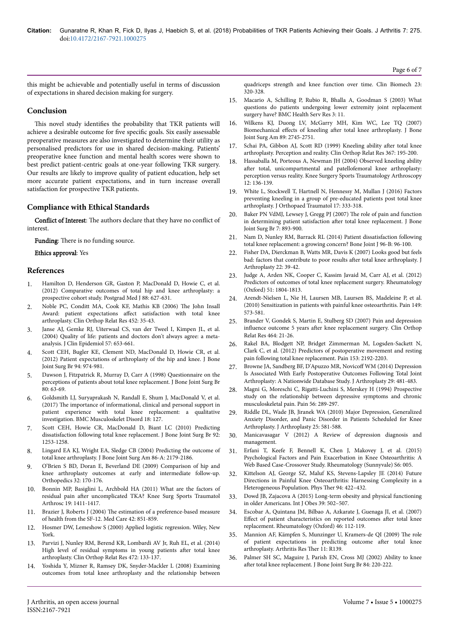this might be achievable and potentially useful in terms of discussion of expectations in shared decision making for surgery.

# **Conclusion**

This novel study identifies the probability that TKR patients will achieve a desirable outcome for five specific goals. Six easily assessable preoperative measures are also investigated to determine their utility as personalised predictors for use in shared decision-making. Patients' preoperative knee function and mental health scores were shown to best predict patient-centric goals at one-year following TKR surgery. Our results are likely to improve quality of patient education, help set more accurate patient expectations, and in turn increase overall satisfaction for prospective TKR patients.

# **Compliance with Ethical Standards**

Conflict of Interest: The authors declare that they have no conflict of interest.

Funding: There is no funding source.

Ethics approval: Yes

## **References**

- 1. [Hamilton D, Henderson GR, Gaston P, MacDonald D, Howie C, et al.](https://doi.org/10.1136/postgradmedj-2011-130715) [\(2012\) Comparative outcomes of total hip and knee arthroplasty: a](https://doi.org/10.1136/postgradmedj-2011-130715) [prospective cohort study. Postgrad Med J 88: 627-631.](https://doi.org/10.1136/postgradmedj-2011-130715)
- 2. [Noble PC, Conditt MA, Cook KF, Mathis KB \(2006\)](https://doi.org/10.1097/01.blo.0000238825.63648.1e) Нe John Insall Award: patient expectations affect [satisfaction with total knee](https://doi.org/10.1097/01.blo.0000238825.63648.1e) [arthroplasty. Clin Orthop Relat Res 452: 35-43.](https://doi.org/10.1097/01.blo.0000238825.63648.1e)
- 3. [Janse AJ, Gemke RJ, Uiterwaal CS, van der Tweel I, Kimpen JL, et al.](https://doi.org/10.1016/j.jclinepi.2003.11.013) [\(2004\) Quality of life: patients and doctors don't always agree: a meta](https://doi.org/10.1016/j.jclinepi.2003.11.013)[analysis. J Clin Epidemiol 57: 653-661.](https://doi.org/10.1016/j.jclinepi.2003.11.013)
- [Scott CEH, Bugler KE, Clement ND, MacDonald D, Howie CR, et al.](https://doi.org/10.1302/0301-620X.94B7.28219) [\(2012\) Patient expectations of arthroplasty of the hip and knee. J Bone](https://doi.org/10.1302/0301-620X.94B7.28219) [Joint Surg Br 94: 974-981.](https://doi.org/10.1302/0301-620X.94B7.28219)
- 5. [Dawson J, Fitzpatrick R, Murray D, Carr A \(1998\) Questionnaire on the](https://www.ncbi.nlm.nih.gov/pubmed/9460955) [perceptions of patients about total knee replacement. J Bone Joint Surg Br](https://www.ncbi.nlm.nih.gov/pubmed/9460955) [80: 63-69.](https://www.ncbi.nlm.nih.gov/pubmed/9460955)
- 6. [Goldsmith LJ, Suryaprakash N, Randall E, Shum J, MacDonald V, et al.](https://dx.doi.org/10.1186%2Fs12891-017-1474-8) (2017) Нe [importance of informational, clinical and personal support in](https://dx.doi.org/10.1186%2Fs12891-017-1474-8) [patient experience with total knee replacement: a qualitative](https://dx.doi.org/10.1186%2Fs12891-017-1474-8) [investigation. BMC Musculoskelet Disord 18: 127.](https://dx.doi.org/10.1186%2Fs12891-017-1474-8)
- 7. [Scott CEH, Howie CR, MacDonald D, Biant LC \(2010\) Predicting](https://doi.org/10.1302/0301-620X.92B9.24394) [dissatisfaction following total knee replacement. J Bone Joint Surg Br 92:](https://doi.org/10.1302/0301-620X.92B9.24394) [1253-1258.](https://doi.org/10.1302/0301-620X.92B9.24394)
- 8. [Lingard EA KJ, Wright EA, Sledge CB \(2004\) Predicting the outcome of](https://www.ncbi.nlm.nih.gov/pubmed/15466726) [total knee arthroplasty. J Bone Joint Surg Am 86-A: 2179-2186.](https://www.ncbi.nlm.nih.gov/pubmed/15466726)
- 9. [O'Brien S BD, Doran E, Beverland DE \(2009\) Comparison of hip and](https://www.ncbi.nlm.nih.gov/pubmed/19309063) [knee arthroplasty outcomes at early and intermediate follow-up.](https://www.ncbi.nlm.nih.gov/pubmed/19309063) [Orthopedics 32: 170-176.](https://www.ncbi.nlm.nih.gov/pubmed/19309063)
- 10. [Bonnin MP, Basiglini L, Archbold HA \(2011\) What are the factors of](https://doi.org/10.1007/s00167-011-1549-2) residual pain after [uncomplicated TKA? Knee Surg Sports Traumatol](https://doi.org/10.1007/s00167-011-1549-2) [Arthrosc 19: 1411-1417.](https://doi.org/10.1007/s00167-011-1549-2)
- 11. Brazier J, Roberts J (2004) Нe [estimation of a preference-based measure](https://www.ncbi.nlm.nih.gov/pubmed/15319610) [of health from the SF-12. Med Care 42: 851-859.](https://www.ncbi.nlm.nih.gov/pubmed/15319610)
- 12. Hosmer DW, Lemeshow S (2000) Applied logistic regression. Wiley, New York.
- 13. [Parvizi J, Nunley RM, Berend KR, Lombardi AV Jr, Ruh EL, et al. \(2014\)](https://doi.org/10.1007/s11999-013-3229-7) [High level of residual symptoms in young patients](https://doi.org/10.1007/s11999-013-3229-7) after total knee [arthroplasty. Clin Orthop Relat Res 472: 133-137.](https://doi.org/10.1007/s11999-013-3229-7)
- 14. [Yoshida Y, Mizner R, Ramsey DK, Snyder-Mackler L \(2008\) Examining](https://doi.org/10.1016/j.clinbiomech.2007.10.008) [outcomes from total knee arthroplasty and the relationship between](https://doi.org/10.1016/j.clinbiomech.2007.10.008)

[quadriceps strength and knee function over time. Clin Biomech 23:](https://doi.org/10.1016/j.clinbiomech.2007.10.008) [320-328.](https://doi.org/10.1016/j.clinbiomech.2007.10.008)

- 15. [Macario A, Schilling P, Rubio R, Bhalla A, Goodman S \(2003\) What](https://doi.org/10.1186/1472-6963-3-11) [questions do patients undergoing lower extremity joint replacement](https://doi.org/10.1186/1472-6963-3-11) [surgery have? BMC Health Serv Res 3: 11.](https://doi.org/10.1186/1472-6963-3-11)
- 16. [Wilkens KJ, Duong LV, McGarry MH, Kim WC, Lee TQ \(2007\)](https://doi.org/10.2106/JBJS.E.01201) Biomechanical effects of kneeling after [total knee arthroplasty. J Bone](https://doi.org/10.2106/JBJS.E.01201) [Joint Surg Am 89: 2745-2751.](https://doi.org/10.2106/JBJS.E.01201)
- 17. [Schai PA, Gibbon AJ, Scott RD \(1999\) Kneeling ability](https://www.ncbi.nlm.nih.gov/pubmed/10546615) after total knee [arthroplasty. Perception and reality. Clin Orthop Relat Res 367: 195-200.](https://www.ncbi.nlm.nih.gov/pubmed/10546615)
- 18. [Hassaballa M, Porteous A, Newman JH \(2004\) Observed kneeling ability](https://doi.org/10.1007/s00167-003-0376-5) after [total, unicompartmental and patellofemoral knee arthroplasty:](https://doi.org/10.1007/s00167-003-0376-5) [perception versus reality. Knee Surgery Sports Traumatology Arthroscopy](https://doi.org/10.1007/s00167-003-0376-5) [12: 136-139.](https://doi.org/10.1007/s00167-003-0376-5)
- 19. [White L, Stockwell T, Hartnell N, Hennessy M, Mullan J \(2016\) Factors](https://dx.doi.org/10.1007%2Fs10195-016-0411-1) [preventing kneeling in a group of pre-educated patients post total knee](https://dx.doi.org/10.1007%2Fs10195-016-0411-1) [arthroplasty. J Orthopaed Traumatol 17: 333-318.](https://dx.doi.org/10.1007%2Fs10195-016-0411-1)
- 20. [Baker PN VdMJ, Lewsey J, Gregg PJ \(2007\)](https://doi.org/10.1302/0301-620X.89B7.19091) Нe role of pain and function [in determining patient satisfaction](https://doi.org/10.1302/0301-620X.89B7.19091) after total knee replacement. J Bone [Joint Surg Br 7: 893-900.](https://doi.org/10.1302/0301-620X.89B7.19091)
- 21. [Nam D, Nunley RM, Barrack RL \(2014\) Patient dissatisfaction following](https://doi.org/10.1302/0301-620X.96B11.34152) [total knee replacement: a growing concern? Bone Joint J 96-B: 96-100.](https://doi.org/10.1302/0301-620X.96B11.34152)
- 22. [Fisher DA, Dierckman B, Watts MR, Davis K \(2007\) Looks good but feels](https://doi.org/10.1016/j.arth.2007.04.011) [bad: factors that contribute to poor results](https://doi.org/10.1016/j.arth.2007.04.011) after total knee arthroplasty. J [Arthroplasty 22: 39-42.](https://doi.org/10.1016/j.arth.2007.04.011)
- 23. [Judge A, Arden NK, Cooper C, Kassim Javaid M, Carr AJ, et al. \(2012\)](https://doi.org/10.1093/rheumatology/kes075) [Predictors of outcomes of total knee replacement surgery. Rheumatology](https://doi.org/10.1093/rheumatology/kes075) [\(Oxford\) 51: 1804-1813.](https://doi.org/10.1093/rheumatology/kes075)
- 24. [Arendt-Nielsen L, Nie H, Laursen MB, Laursen BS, Madeleine P, et al.](https://doi.org/10.1016/j.pain.2010.04.003) [\(2010\) Sensitization in patients with painful knee osteoarthritis. Pain 149:](https://doi.org/10.1016/j.pain.2010.04.003) [573-581.](https://doi.org/10.1016/j.pain.2010.04.003)
- 25. [Brander V, Gondek S, Martin E, Stulberg SD \(2007\) Pain and depression](https://doi.org/10.1097/BLO.0b013e318126c032) influence outcome 5 years after [knee replacement surgery. Clin Orthop](https://doi.org/10.1097/BLO.0b013e318126c032) [Relat Res 464: 21-26.](https://doi.org/10.1097/BLO.0b013e318126c032)
- [Rakel BA, Blodgett NP, Bridget Zimmerman M, Logsden-Sackett N,](https://doi.org/10.1016/j.pain.2012.06.021) [Clark C, et al. \(2012\) Predictors of postoperative movement and resting](https://doi.org/10.1016/j.pain.2012.06.021) [pain following total knee replacement. Pain 153: 2192-2203.](https://doi.org/10.1016/j.pain.2012.06.021)
- 27. [Browne JA, Sandberg BF, D'Apuzzo MR,](https://doi.org/10.1016/j.arth.2013.08.025) Novicoff WM (2014) Depression [Is Associated With Early Postoperative Outcomes Following Total Joint](https://doi.org/10.1016/j.arth.2013.08.025) [Arthroplasty: A Nationwide Database Study. J Arthroplasty 29: 481-483.](https://doi.org/10.1016/j.arth.2013.08.025)
- 28. [Magni G, Moreschi C, Rigatti-Luchini S, Merskey H \(1994\) Prospective](https://www.ncbi.nlm.nih.gov/pubmed/8022622) [study on the relationship between depressive symptoms and chronic](https://www.ncbi.nlm.nih.gov/pubmed/8022622) [musculoskeletal pain. Pain 56: 289-297.](https://www.ncbi.nlm.nih.gov/pubmed/8022622)
- 29. [Riddle DL, Wade JB, Jiranek WA \(2010\) Major Depression, Generalized](https://doi.org/10.1016/j.arth.2009.04.002) [Anxiety Disorder, and Panic Disorder in Patients Scheduled for Knee](https://doi.org/10.1016/j.arth.2009.04.002) [Arthroplasty. J Arthroplasty 25: 581-588.](https://doi.org/10.1016/j.arth.2009.04.002)
- 30. [Manicavasagar V \(2012\) A Review of depression diagnosis and](http://www.psychology.org.au/publications/inpsych/2012/february/manicavasagar/) [management.](http://www.psychology.org.au/publications/inpsych/2012/february/manicavasagar/)
- 31. [Erfani T, Keefe F, Bennell K, Chen J, Makovey J, et al. \(2015\)](http://dx.doi.org/10.4172/2161-1149.S6-005) [Psychological Factors and Pain Exacerbation in Knee Osteoarthritis: A](http://dx.doi.org/10.4172/2161-1149.S6-005) [Web Based Case-Crossover Study. Rheumatology \(Sunnyvale\) S6: 005.](http://dx.doi.org/10.4172/2161-1149.S6-005)
- 32. [Kittelson AJ, George SZ, Maluf KS, Stevens-Lapsley JE \(2014\) Future](https://doi.org/10.2522/ptj.20130256) [Directions in Painful Knee Osteoarthritis: Harnessing Complexity in a](https://doi.org/10.2522/ptj.20130256) [Heterogeneous Population. Phys](https://doi.org/10.2522/ptj.20130256) Ther 94: 422-432.
- 33. [Dowd JB, Zajacova A \(2015\) Long-term obesity and physical functioning](https://doi.org/10.1038/ijo.2014.150) [in older Americans. Int J Obes 39: 502–507.](https://doi.org/10.1038/ijo.2014.150)
- 34. [Escobar A, Quintana JM, Bilbao A, Azkarate J, Guenaga JI, et al. \(2007\)](https://doi.org/10.1093/rheumatology/kel184) Effect [of patient characteristics on reported outcomes](https://doi.org/10.1093/rheumatology/kel184) after total knee [replacement. Rheumatology \(Oxford\) 46: 112-119.](https://doi.org/10.1093/rheumatology/kel184)
- 35. [Mannion AF, Kämpfen S, Munzinger U, Kramers-de QI \(2009\)](https://dx.doi.org/10.1186%2Far2811) Нe role [of patient expectations in predicting outcome](https://dx.doi.org/10.1186%2Far2811) after total knee [arthroplasty. Arthritis Res](https://dx.doi.org/10.1186%2Far2811) Ther 11: R139.
- 36. [Palmer SH SC, Maguire J, Parish EN, Cross MJ \(2002\) Ability to knee](https://www.ncbi.nlm.nih.gov/pubmed/11922363) after [total knee replacement. J Bone Joint Surg Br 84: 220-222.](https://www.ncbi.nlm.nih.gov/pubmed/11922363)

Page 6 of 7